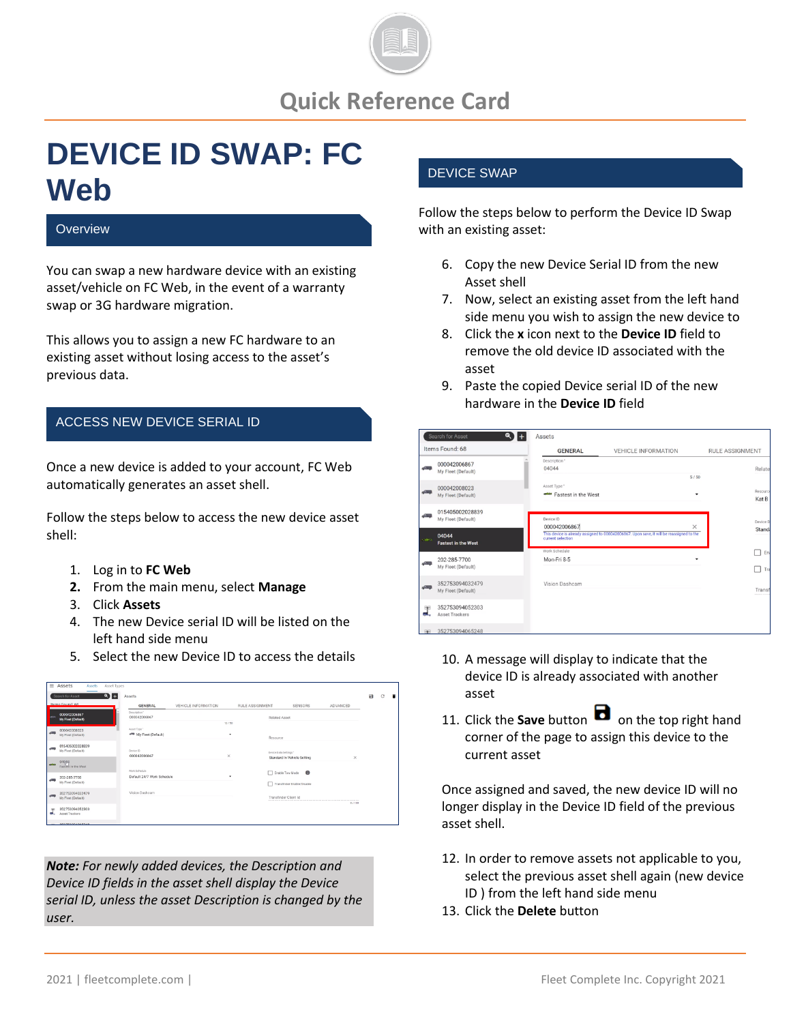

# **DEVICE ID SWAP: FC Web**

#### **Overview**

You can swap a new hardware device with an existing asset/vehicle on FC Web, in the event of a warranty swap or 3G hardware migration.

This allows you to assign a new FC hardware to an existing asset without losing access to the asset's previous data.

#### ACCESS NEW DEVICE SERIAL ID

Once a new device is added to your account, FC Web automatically generates an asset shell.

Follow the steps below to access the new device asset shell:

- 1. Log in to **FC Web**
- **2.** From the main menu, select **Manage**
- 3. Click **Assets**
- 4. The new Device serial ID will be listed on the left hand side menu
- 5. Select the new Device ID to access the details

|               | $\equiv$ Assets                       | Assets | Asset Types |                                   |                     |            |                        |                       |                             |          |              |   |  |
|---------------|---------------------------------------|--------|-------------|-----------------------------------|---------------------|------------|------------------------|-----------------------|-----------------------------|----------|--------------|---|--|
|               | Search for Asset                      |        | $\bullet$ + | Assets                            |                     |            |                        |                       |                             |          | $\mathbf{a}$ | C |  |
|               | Items Found: 68                       |        |             | <b>GENERAL</b>                    | VEHICLE INFORMATION |            | <b>RULE ASSIGNMENT</b> |                       | SENSORS                     | ADVANCED |              |   |  |
|               | 000042006867<br>My Fleet (Default)    |        |             | Description"<br>000042006867      |                     |            |                        | Related Asset         |                             |          |              |   |  |
| $\sqrt{m}$    | 000042008023<br>My Fleet (Default)    |        |             | Asset Type*<br>My Fleet (Default) |                     | 12/50<br>٠ |                        | Resource              |                             |          |              |   |  |
| $\leftarrow$  | 015405002028839<br>My Fleet (Default) |        |             | Device ID<br>000042006867         |                     | $\times$   |                        | Device Data Settings" | Standard In-Vehicle Setting | $\times$ |              |   |  |
| <b>Africa</b> | 04084<br>Fastest in the West          |        |             | Work firhedule                    |                     |            |                        | Enable Tow Mode       | $\bullet$                   |          |              |   |  |
| $\leftarrow$  | 202-285-7700<br>My Fleet (Default)    |        |             | Default 24/7 Work Schedule        |                     |            |                        |                       | Transfinder Enable/Disable  |          |              |   |  |
| $-0.001$      | 352753094032479<br>My Fleet (Default) |        |             | Vision Dashcam                    |                     |            |                        | Transfinder Client Id |                             | 0/100    |              |   |  |
| æ<br>a.       | 352753094052303<br>Annet Trackers     |        |             |                                   |                     |            |                        |                       |                             |          |              |   |  |
|               | <b>DESTERAD ARCED AT</b>              |        |             |                                   |                     |            |                        |                       |                             |          |              |   |  |

*Note: For newly added devices, the Description and Device ID fields in the asset shell display the Device serial ID, unless the asset Description is changed by the user.*

### DEVICE SWAP

Follow the steps below to perform the Device ID Swap with an existing asset:

- 6. Copy the new Device Serial ID from the new Asset shell
- 7. Now, select an existing asset from the left hand side menu you wish to assign the new device to
- 8. Click the **x** icon next to the **Device ID** field to remove the old device ID associated with the asset
- 9. Paste the copied Device serial ID of the new hardware in the **Device ID** field

|               | $\bullet$<br>Search for Asset            | Assets                              |                                                                                          |                        |
|---------------|------------------------------------------|-------------------------------------|------------------------------------------------------------------------------------------|------------------------|
|               | Items Found: 68                          | <b>GENERAL</b>                      | <b>VEHICLE INFORMATION</b>                                                               | <b>RULE ASSIGNMENT</b> |
| ÷             | 000042006867<br>My Fleet (Default)       | Description*<br>04044               |                                                                                          | Relate<br>5/50         |
| w             | 000042008023<br>My Fleet (Default)       | Asset Type *<br>Fastest in the West |                                                                                          | Resource<br>۰<br>Kat B |
|               | 015405002028839<br>My Fleet (Default)    | Device ID<br>000042006867           |                                                                                          | Device D<br>$\times$   |
| <b>Chairm</b> | 04044<br><b>Fastest in the West</b>      | current selection                   | This device is already assigned to 000042006867. Upon save, it will be reassigned to the | <b>Stand</b>           |
|               | 202-285-7700<br>My Fleet (Default)       | Work Schedule<br>Mon-Fri 8-5        |                                                                                          | En:<br>Tra             |
|               | 352753094032479<br>My Fleet (Default)    | Vision Dashcam                      |                                                                                          | Transf<br>             |
| æ             | 352753094052303<br><b>Asset Trackers</b> |                                     |                                                                                          |                        |
|               | 352753094065248                          |                                     |                                                                                          |                        |

- 10. A message will display to indicate that the device ID is already associated with another asset
- 11. Click the **Save** button **d** on the top right hand corner of the page to assign this device to the current asset

Once assigned and saved, the new device ID will no longer display in the Device ID field of the previous asset shell.

- 12. In order to remove assets not applicable to you, select the previous asset shell again (new device ID ) from the left hand side menu
- 13. Click the **Delete** button